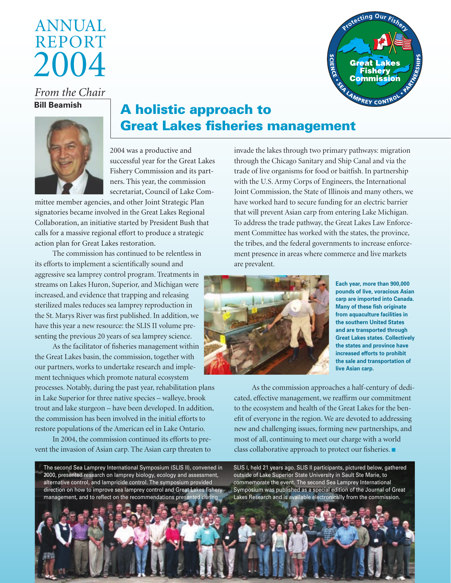# 2004 Annual **REPORT**



*From the Chair* **Bill Beamish**



## A holistic approach to Great Lakes fisheries management

2004 was a productive and successful year for the Great Lakes Fishery Commission and its partners. This year, the commission secretariat, Council of Lake Com-

mittee member agencies, and other Joint Strategic Plan signatories became involved in the Great Lakes Regional Collaboration, an initiative started by President Bush that calls for a massive regional effort to produce a strategic action plan for Great Lakes restoration.

The commission has continued to be relentless in its efforts to implement a scientifically sound and aggressive sea lamprey control program. Treatments in streams on Lakes Huron, Superior, and Michigan were increased, and evidence that trapping and releasing sterilized males reduces sea lamprey reproduction in the St. Marys River was first published. In addition, we have this year a new resource: the SLIS II volume presenting the previous 20 years of sea lamprey science.

As the facilitator of fisheries management within the Great Lakes basin, the commission, together with our partners, works to undertake research and implement techniques which promote natural ecosystem

processes. Notably, during the past year, rehabilitation plans in Lake Superior for three native species – walleye, brook trout and lake sturgeon – have been developed. In addition, the commission has been involved in the initial efforts to restore populations of the American eel in Lake Ontario.

In 2004, the commission continued its efforts to prevent the invasion of Asian carp. The Asian carp threaten to

The second Sea Lamprey International Symposium (SLIS II), convened in 2000, presented research on lamprey biology, ecology and assessment, alternative control, and lampricide control. The symposium provided direction on how to improve sea lamprey control and Great Lakes fishery management, and to reflect on the recommendations presented during

invade the lakes through two primary pathways: migration through the Chicago Sanitary and Ship Canal and via the trade of live organisms for food or baitfish. In partnership with the U.S. Army Corps of Engineers, the International Joint Commission, the State of Illinois and many others, we have worked hard to secure funding for an electric barrier that will prevent Asian carp from entering Lake Michigan. To address the trade pathway, the Great Lakes Law Enforcement Committee has worked with the states, the province, the tribes, and the federal governments to increase enforcement presence in areas where commerce and live markets are prevalent.



**Each year, more than 900,000 pounds of live, voracious Asian carp are imported into Canada. Many of these fish originate from aquaculture facilities in the southern United States and are transported through Great Lakes states. Collectively the states and province have increased efforts to prohibit the sale and transportation of live Asian carp.**

As the commission approaches a half-century of dedicated, effective management, we reaffirm our commitment to the ecosystem and health of the Great Lakes for the benefit of everyone in the region. We are devoted to addressing new and challenging issues, forming new partnerships, and most of all, continuing to meet our charge with a world class collaborative approach to protect our fisheries.  $\blacksquare$ 

SLIS I, held 21 years ago. SLIS II participants, pictured below, gathered outside of Lake Superior State University in Sault Ste Marie, to commemorate the event. The second Sea Lamprey International Symposium was published as a special edition of the Journal of Great Lakes Research and is available electronically from the commission..

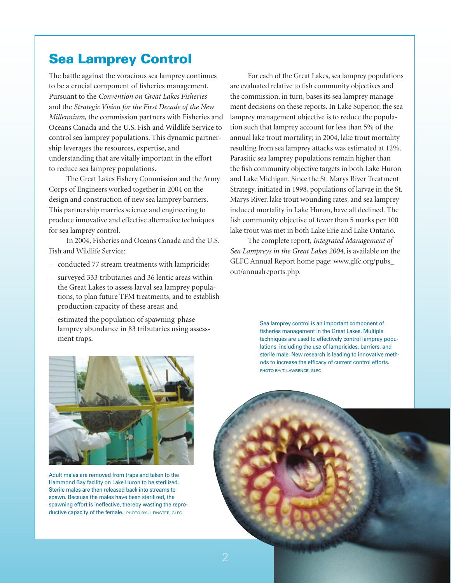### Sea Lamprey Control

The battle against the voracious sea lamprey continues to be a crucial component of fisheries management. Pursuant to the *Convention on Great Lakes Fisheries* and the *Strategic Vision for the First Decade of the New Millennium,* the commission partners with Fisheries and Oceans Canada and the U.S. Fish and Wildlife Service to control sea lamprey populations. This dynamic partnership leverages the resources, expertise, and understanding that are vitally important in the effort to reduce sea lamprey populations.

The Great Lakes Fishery Commission and the Army Corps of Engineers worked together in 2004 on the design and construction of new sea lamprey barriers. This partnership marries science and engineering to produce innovative and effective alternative techniques for sea lamprey control.

In 2004, Fisheries and Oceans Canada and the U.S. Fish and Wildlife Service:

- conducted 77 stream treatments with lampricide;
- surveyed 333 tributaries and 36 lentic areas within the Great Lakes to assess larval sea lamprey populations, to plan future TFM treatments, and to establish production capacity of these areas; and
- estimated the population of spawning-phase lamprey abundance in 83 tributaries using assessment traps.

For each of the Great Lakes, sea lamprey populations are evaluated relative to fish community objectives and the commission, in turn, bases its sea lamprey management decisions on these reports. In Lake Superior, the sea lamprey management objective is to reduce the population such that lamprey account for less than 5% of the annual lake trout mortality; in 2004, lake trout mortality resulting from sea lamprey attacks was estimated at 12%. Parasitic sea lamprey populations remain higher than the fish community objective targets in both Lake Huron and Lake Michigan. Since the St. Marys River Treatment Strategy, initiated in 1998, populations of larvae in the St. Marys River, lake trout wounding rates, and sea lamprey induced mortality in Lake Huron, have all declined. The fish community objective of fewer than 5 marks per 100 lake trout was met in both Lake Erie and Lake Ontario.

The complete report, *Integrated Management of Sea Lampreys in the Great Lakes 2004*, is available on the GLFC Annual Report home page: www.glfc.org/pubs\_ out/annualreports.php.

> Sea lamprey control is an important component of fisheries management in the Great Lakes. Multiple techniques are used to effectively control lamprey populations, including the use of lampricides, barriers, and sterile male. New research is leading to innovative methods to increase the efficacy of current control efforts. PHOTO BY: T. LAWRENCE, GLFC



Adult males are removed from traps and taken to the Hammond Bay facility on Lake Huron to be sterilized. Sterile males are then released back into streams to spawn. Because the males have been sterilized, the spawning effort is ineffective, thereby wasting the reproductive capacity of the female. PHOTO BY: J. FINSTER, GLFC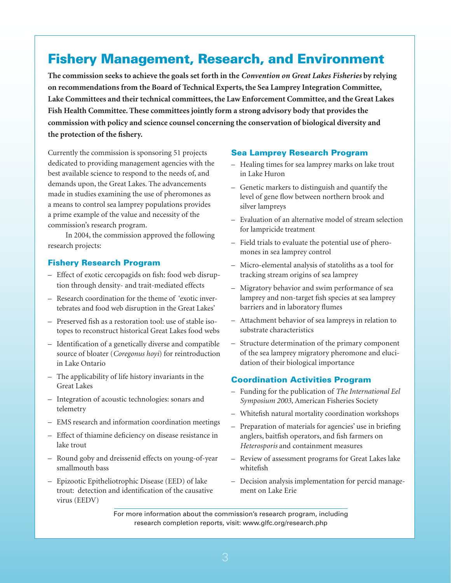### Fishery Management, Research, and Environment

**The commission seeks to achieve the goals set forth in the** *Convention on Great Lakes Fisheries* **by relying on recommendations from the Board of Technical Experts, the Sea Lamprey Integration Committee, Lake Committees and their technical committees, the Law Enforcement Committee, and the Great Lakes Fish Health Committee. These committees jointly form a strong advisory body that provides the commission with policy and science counsel concerning the conservation of biological diversity and the protection of the fishery.**

Currently the commission is sponsoring 51 projects dedicated to providing management agencies with the best available science to respond to the needs of, and demands upon, the Great Lakes. The advancements made in studies examining the use of pheromones as a means to control sea lamprey populations provides a prime example of the value and necessity of the commission's research program.

In 2004, the commission approved the following research projects:

### Fishery Research Program

- Effect of exotic cercopagids on fish: food web disruption through density- and trait-mediated effects
- Research coordination for the theme of 'exotic invertebrates and food web disruption in the Great Lakes'
- Preserved fish as a restoration tool: use of stable isotopes to reconstruct historical Great Lakes food webs
- Identification of a genetically diverse and compatible source of bloater (*Coregonus hoyi*) for reintroduction in Lake Ontario
- The applicability of life history invariants in the Great Lakes
- Integration of acoustic technologies: sonars and telemetry
- EMS research and information coordination meetings
- Effect of thiamine deficiency on disease resistance in lake trout
- Round goby and dreissenid effects on young-of-year smallmouth bass
- Epizootic Epitheliotrophic Disease (EED) of lake trout: detection and identification of the causative virus (EEDV)

#### Sea Lamprey Research Program

- Healing times for sea lamprey marks on lake trout in Lake Huron
- Genetic markers to distinguish and quantify the level of gene flow between northern brook and silver lampreys
- Evaluation of an alternative model of stream selection for lampricide treatment
- Field trials to evaluate the potential use of pheromones in sea lamprey control
- Micro-elemental analysis of statoliths as a tool for tracking stream origins of sea lamprey
- Migratory behavior and swim performance of sea lamprey and non-target fish species at sea lamprey barriers and in laboratory flumes
- Attachment behavior of sea lampreys in relation to substrate characteristics
- Structure determination of the primary component of the sea lamprey migratory pheromone and elucidation of their biological importance

#### Coordination Activities Program

- Funding for the publication of *The International Eel Symposium 2003,* American Fisheries Society
- Whitefish natural mortality coordination workshops
- Preparation of materials for agencies' use in briefing anglers, baitfish operators, and fish farmers on *Heterosporis* and containment measures
- Review of assessment programs for Great Lakes lake whitefish
- Decision analysis implementation for percid management on Lake Erie

For more information about the commission's research program, including research completion reports, visit: www.glfc.org/research.php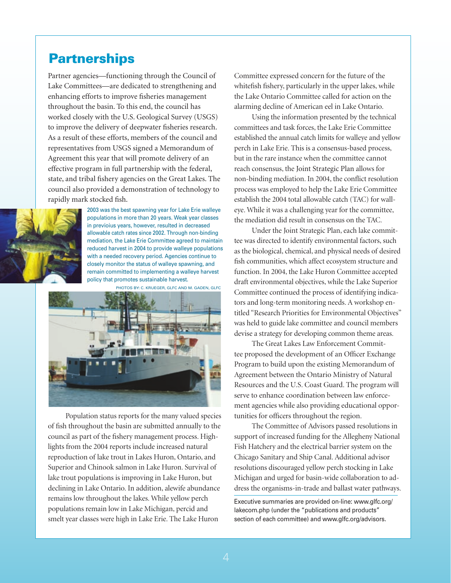### **Partnerships**

Partner agencies—functioning through the Council of Lake Committees—are dedicated to strengthening and enhancing efforts to improve fisheries management throughout the basin. To this end, the council has worked closely with the U.S. Geological Survey (USGS) to improve the delivery of deepwater fisheries research. As a result of these efforts, members of the council and representatives from USGS signed a Memorandum of Agreement this year that will promote delivery of an effective program in full partnership with the federal, state, and tribal fishery agencies on the Great Lakes. The council also provided a demonstration of technology to rapidly mark stocked fish.



2003 was the best spawning year for Lake Erie walleye populations in more than 20 years. Weak year classes in previoius years, however, resulted in decreased allowable catch rates since 2002. Through non-binding mediation, the Lake Erie Committee agreed to maintain reduced harvest in 2004 to provide walleye populations with a needed recovery period. Agencies continue to closely monitor the status of walleye spawning, and remain committed to implementing a walleye harvest policy that promotes sustainable harvest.



Population status reports for the many valued species of fish throughout the basin are submitted annually to the council as part of the fishery management process. Highlights from the 2004 reports include increased natural reproduction of lake trout in Lakes Huron, Ontario, and Superior and Chinook salmon in Lake Huron. Survival of lake trout populations is improving in Lake Huron, but declining in Lake Ontario. In addition, alewife abundance remains low throughout the lakes. While yellow perch populations remain low in Lake Michigan, percid and smelt year classes were high in Lake Erie. The Lake Huron

Committee expressed concern for the future of the whitefish fishery, particularly in the upper lakes, while the Lake Ontario Committee called for action on the alarming decline of American eel in Lake Ontario.

Using the information presented by the technical committees and task forces, the Lake Erie Committee established the annual catch limits for walleye and yellow perch in Lake Erie. This is a consensus-based process, but in the rare instance when the committee cannot reach consensus, the Joint Strategic Plan allows for non-binding mediation. In 2004, the conflict resolution process was employed to help the Lake Erie Committee establish the 2004 total allowable catch (TAC) for walleye. While it was a challenging year for the committee, the mediation did result in consensus on the TAC.

Under the Joint Strategic Plan, each lake committee was directed to identify environmental factors, such as the biological, chemical, and physical needs of desired fish communities, which affect ecosystem structure and function. In 2004, the Lake Huron Committee accepted draft environmental objectives, while the Lake Superior Committee continued the process of identifying indicators and long-term monitoring needs. A workshop entitled "Research Priorities for Environmental Objectives" was held to guide lake committee and council members devise a strategy for developing common theme areas.

The Great Lakes Law Enforcement Committee proposed the development of an Officer Exchange Program to build upon the existing Memorandum of Agreement between the Ontario Ministry of Natural Resources and the U.S. Coast Guard. The program will serve to enhance coordination between law enforcement agencies while also providing educational opportunities for officers throughout the region.

The Committee of Advisors passed resolutions in support of increased funding for the Allegheny National Fish Hatchery and the electrical barrier system on the Chicago Sanitary and Ship Canal. Additional advisor resolutions discouraged yellow perch stocking in Lake Michigan and urged for basin-wide collaboration to address the organisms-in-trade and ballast water pathways.

Executive summaries are provided on-line: www.glfc.org/ lakecom.php (under the "publications and products" section of each committee) and www.glfc.org/advisors.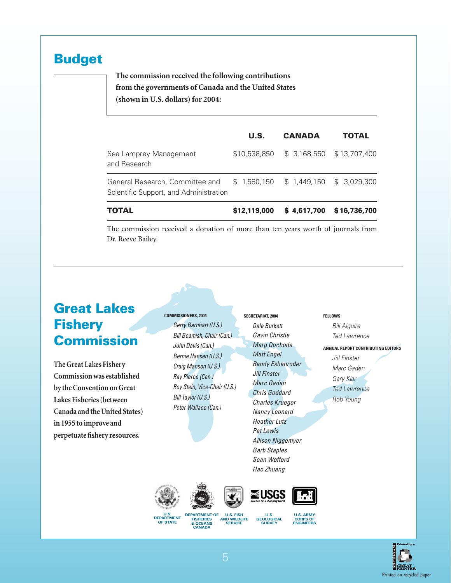### Budget

**The commission received the following contributions from the governments of Canada and the United States (shown in U.S. dollars) for 2004:**

|                                                                           | U.S.         | <b>CANADA</b> | <b>TOTAL</b>              |
|---------------------------------------------------------------------------|--------------|---------------|---------------------------|
| Sea Lamprey Management<br>and Research                                    | \$10,538,850 | \$3,168,550   | \$13,707,400              |
| General Research, Committee and<br>Scientific Support, and Administration | \$1.580.150  |               | $$1,449,150$ $$3,029,300$ |
| <b>TOTAL</b>                                                              | \$12,119,000 | \$4,617,700   | \$16,736,700              |

The commission received a donation of more than ten years worth of journals from Dr. Reeve Bailey.

# Great Lakes **Fishery** Commission

**The Great Lakes Fishery Commission was established by the Convention on Great Lakes Fisheries (between Canada and the United States) in 1955 to improve and perpetuate fishery resources.**

**Commissioners, 2004** *Gerry Barnhart (U.S.) Bill Beamish, Chair (Can.) John Davis (Can.) Bernie Hansen (U.S.) Craig Manson (U.S.) Ray Pierce (Can.) Roy Stein, Vice-Chair (U.S.) Bill Taylor (U.S.) Peter Wallace (Can.)*

**Secretariat, 2004** *Dale Burkett Gavin Christie Marg Dochoda Matt Engel Randy Eshenroder Jill Finster Marc Gaden Chris Goddard Charles Krueger Nancy Leonard Heather Lutz Pat Lewis Allison Niggemyer Barb Staples Sean Wofford Hao Zhuang*





**Department of Fisheries & Oceans Canada U.S. Department of State**

**U.S. Fish and Wildlife Service**

U.S.<br>**GEOLOGIC.**<br>SURVEY



**Fellows**

*Bill Alguire Ted Lawrence*

*Jill Finster Marc Gaden Gary Klar Ted Lawrence Rob Young*

**Annual Report Contributing Editors**